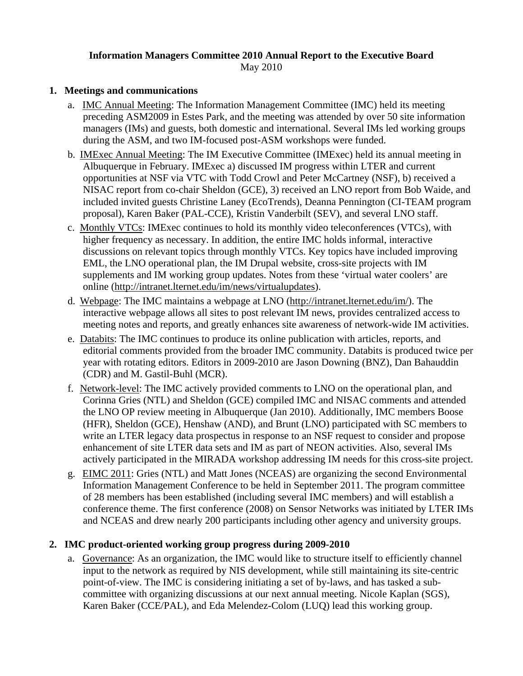#### **Information Managers Committee 2010 Annual Report to the Executive Board**  May 2010

## **1. Meetings and communications**

- a. IMC Annual Meeting: The Information Management Committee (IMC) held its meeting preceding ASM2009 in Estes Park, and the meeting was attended by over 50 site information managers (IMs) and guests, both domestic and international. Several IMs led working groups during the ASM, and two IM-focused post-ASM workshops were funded.
- b. IMExec Annual Meeting: The IM Executive Committee (IMExec) held its annual meeting in Albuquerque in February. IMExec a) discussed IM progress within LTER and current opportunities at NSF via VTC with Todd Crowl and Peter McCartney (NSF), b) received a NISAC report from co-chair Sheldon (GCE), 3) received an LNO report from Bob Waide, and included invited guests Christine Laney (EcoTrends), Deanna Pennington (CI-TEAM program proposal), Karen Baker (PAL-CCE), Kristin Vanderbilt (SEV), and several LNO staff.
- c. Monthly VTCs: IMExec continues to hold its monthly video teleconferences (VTCs), with higher frequency as necessary. In addition, the entire IMC holds informal, interactive discussions on relevant topics through monthly VTCs. Key topics have included improving EML, the LNO operational plan, the IM Drupal website, cross-site projects with IM supplements and IM working group updates. Notes from these 'virtual water coolers' are online [\(http://intranet.lternet.edu/im/news/virtualupdates\)](http://intranet.lternet.edu/im/news/virtualupdates).
- d. Webpage: The IMC maintains a webpage at LNO [\(http://intranet.lternet.edu/im/](http://intranet.lternet.edu/im/)). The interactive webpage allows all sites to post relevant IM news, provides centralized access to meeting notes and reports, and greatly enhances site awareness of network-wide IM activities.
- e. Databits: The IMC continues to produce its online publication with articles, reports, and editorial comments provided from the broader IMC community. Databits is produced twice per year with rotating editors. Editors in 2009-2010 are Jason Downing (BNZ), Dan Bahauddin (CDR) and M. Gastil-Buhl (MCR).
- f. Network-level: The IMC actively provided comments to LNO on the operational plan, and Corinna Gries (NTL) and Sheldon (GCE) compiled IMC and NISAC comments and attended the LNO OP review meeting in Albuquerque (Jan 2010). Additionally, IMC members Boose (HFR), Sheldon (GCE), Henshaw (AND), and Brunt (LNO) participated with SC members to write an LTER legacy data prospectus in response to an NSF request to consider and propose enhancement of site LTER data sets and IM as part of NEON activities. Also, several IMs actively participated in the MIRADA workshop addressing IM needs for this cross-site project.
- g. EIMC 2011: Gries (NTL) and Matt Jones (NCEAS) are organizing the second Environmental Information Management Conference to be held in September 2011. The program committee of 28 members has been established (including several IMC members) and will establish a conference theme. The first conference (2008) on Sensor Networks was initiated by LTER IMs and NCEAS and drew nearly 200 participants including other agency and university groups.

### **2. IMC product-oriented working group progress during 2009-2010**

a. Governance: As an organization, the IMC would like to structure itself to efficiently channel input to the network as required by NIS development, while still maintaining its site-centric point-of-view. The IMC is considering initiating a set of by-laws, and has tasked a subcommittee with organizing discussions at our next annual meeting. Nicole Kaplan (SGS), Karen Baker (CCE/PAL), and Eda Melendez-Colom (LUQ) lead this working group.